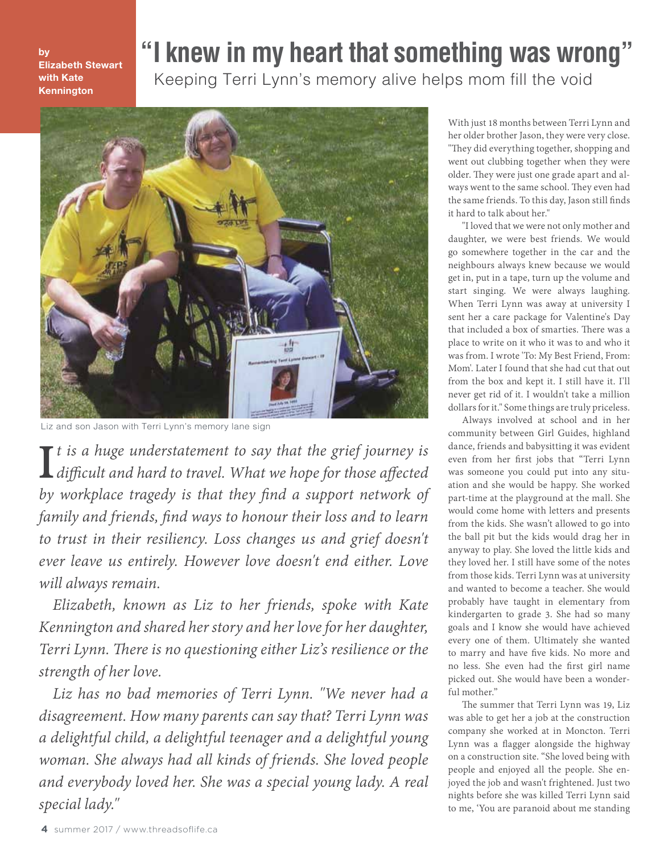by Elizabeth Stewart with Kate Kennington

## **"I knew in my heart that something was wrong"**

Keeping Terri Lynn's memory alive helps mom fill the void



Liz and son Jason with Terri Lynn's memory lane sign

*t is a huge understatement to say that the grief journey is difficult and hard to travel. What we hope for those affected by workplace tragedy is that they find a support network of family and friends, find ways to honour their loss and to learn to trust in their resiliency. Loss changes us and grief doesn't ever leave us entirely. However love doesn't end either. Love will always remain.*

*Elizabeth, known as Liz to her friends, spoke with Kate Kennington and shared her story and her love for her daughter, Terri Lynn. There is no questioning either Liz's resilience or the strength of her love.*

*Liz has no bad memories of Terri Lynn. "We never had a disagreement. How many parents can say that? Terri Lynn was a delightful child, a delightful teenager and a delightful young woman. She always had all kinds of friends. She loved people and everybody loved her. She was a special young lady. A real special lady."* 

With just 18 months between Terri Lynn and her older brother Jason, they were very close. "They did everything together, shopping and went out clubbing together when they were older. They were just one grade apart and always went to the same school. They even had the same friends. To this day, Jason still finds it hard to talk about her."

"I loved that we were not only mother and daughter, we were best friends. We would go somewhere together in the car and the neighbours always knew because we would get in, put in a tape, turn up the volume and start singing. We were always laughing. When Terri Lynn was away at university I sent her a care package for Valentine's Day that included a box of smarties. There was a place to write on it who it was to and who it was from. I wrote 'To: My Best Friend, From: Mom'. Later I found that she had cut that out from the box and kept it. I still have it. I'll never get rid of it. I wouldn't take a million dollars for it." Some things are truly priceless.

Always involved at school and in her community between Girl Guides, highland dance, friends and babysitting it was evident even from her first jobs that "Terri Lynn was someone you could put into any situation and she would be happy. She worked part-time at the playground at the mall. She would come home with letters and presents from the kids. She wasn't allowed to go into the ball pit but the kids would drag her in anyway to play. She loved the little kids and they loved her. I still have some of the notes from those kids. Terri Lynn was at university and wanted to become a teacher. She would probably have taught in elementary from kindergarten to grade 3. She had so many goals and I know she would have achieved every one of them. Ultimately she wanted to marry and have five kids. No more and no less. She even had the first girl name picked out. She would have been a wonderful mother."

The summer that Terri Lynn was 19, Liz was able to get her a job at the construction company she worked at in Moncton. Terri Lynn was a flagger alongside the highway on a construction site. "She loved being with people and enjoyed all the people. She enjoyed the job and wasn't frightened. Just two nights before she was killed Terri Lynn said to me, 'You are paranoid about me standing